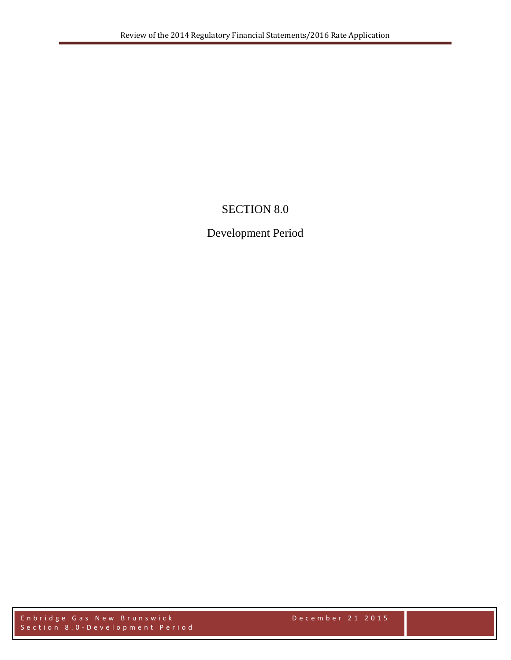## SECTION 8.0

## Development Period

Enbridge Gas New Brunswick December 2 1 2015 Section 8.0 - Development Period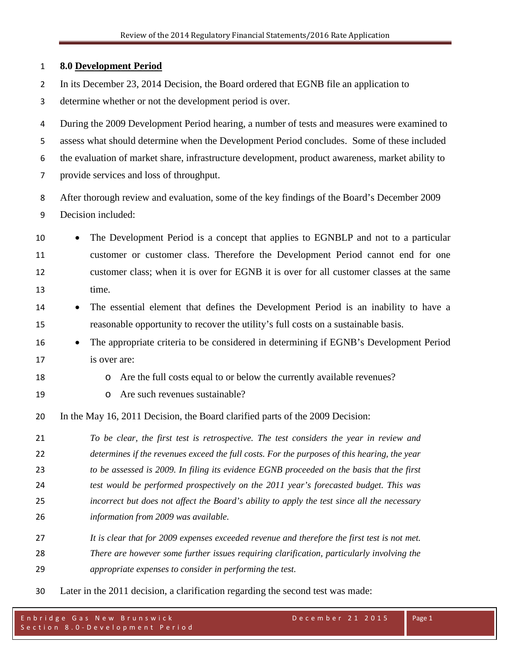| 1              | <b>8.0 Development Period</b>                                                                      |  |  |  |
|----------------|----------------------------------------------------------------------------------------------------|--|--|--|
| $\overline{2}$ | In its December 23, 2014 Decision, the Board ordered that EGNB file an application to              |  |  |  |
| 3              | determine whether or not the development period is over.                                           |  |  |  |
| 4              | During the 2009 Development Period hearing, a number of tests and measures were examined to        |  |  |  |
| 5              | assess what should determine when the Development Period concludes. Some of these included         |  |  |  |
| 6              | the evaluation of market share, infrastructure development, product awareness, market ability to   |  |  |  |
| 7              | provide services and loss of throughput.                                                           |  |  |  |
| 8              | After thorough review and evaluation, some of the key findings of the Board's December 2009        |  |  |  |
| 9              | Decision included:                                                                                 |  |  |  |
| 10             | The Development Period is a concept that applies to EGNBLP and not to a particular                 |  |  |  |
| 11             | customer or customer class. Therefore the Development Period cannot end for one                    |  |  |  |
| 12             | customer class; when it is over for EGNB it is over for all customer classes at the same           |  |  |  |
| 13             | time.                                                                                              |  |  |  |
| 14             | The essential element that defines the Development Period is an inability to have a<br>$\bullet$   |  |  |  |
| 15             | reasonable opportunity to recover the utility's full costs on a sustainable basis.                 |  |  |  |
| 16             | The appropriate criteria to be considered in determining if EGNB's Development Period<br>$\bullet$ |  |  |  |
| 17             | is over are:                                                                                       |  |  |  |
| 18             | Are the full costs equal to or below the currently available revenues?<br>O                        |  |  |  |
| 19             | Are such revenues sustainable?<br>$\circ$                                                          |  |  |  |
| 20             | In the May 16, 2011 Decision, the Board clarified parts of the 2009 Decision:                      |  |  |  |
| 21             | To be clear, the first test is retrospective. The test considers the year in review and            |  |  |  |
| 22             | determines if the revenues exceed the full costs. For the purposes of this hearing, the year       |  |  |  |
| 23             | to be assessed is 2009. In filing its evidence EGNB proceeded on the basis that the first          |  |  |  |
| 24             | test would be performed prospectively on the 2011 year's forecasted budget. This was               |  |  |  |
| 25             | incorrect but does not affect the Board's ability to apply the test since all the necessary        |  |  |  |
| 26             | information from 2009 was available.                                                               |  |  |  |
| 27             | It is clear that for 2009 expenses exceeded revenue and therefore the first test is not met.       |  |  |  |
| 28             | There are however some further issues requiring clarification, particularly involving the          |  |  |  |
| 29             | appropriate expenses to consider in performing the test.                                           |  |  |  |
|                |                                                                                                    |  |  |  |

Later in the 2011 decision, a clarification regarding the second test was made: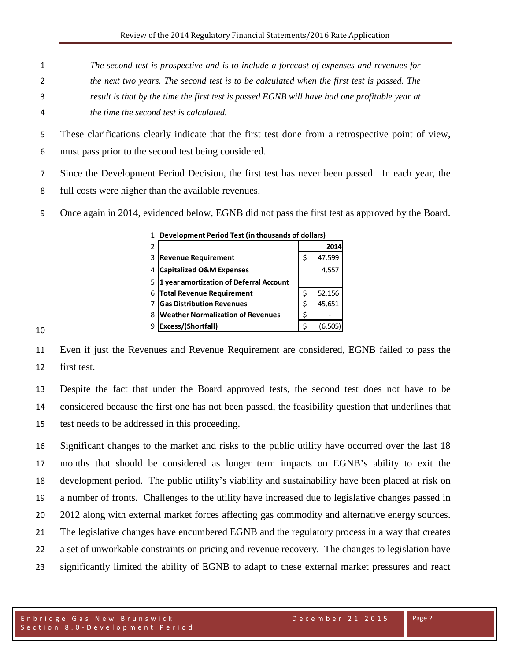- *The second test is prospective and is to include a forecast of expenses and revenues for*
- *the next two years. The second test is to be calculated when the first test is passed. The*
- *result is that by the time the first test is passed EGNB will have had one profitable year at*
- *the time the second test is calculated.*

These clarifications clearly indicate that the first test done from a retrospective point of view,

must pass prior to the second test being considered.

- Since the Development Period Decision, the first test has never been passed. In each year, the
- full costs were higher than the available revenues.
- Once again in 2014, evidenced below, EGNB did not pass the first test as approved by the Board.

| 1 | Development Period Test (in thousands of dollars) |    |        |  |
|---|---------------------------------------------------|----|--------|--|
| 2 |                                                   |    | 2014   |  |
| 3 | <b>Revenue Requirement</b>                        | Ś  | 47,599 |  |
| 4 | <b>Capitalized O&amp;M Expenses</b>               |    | 4,55   |  |
| 5 | 1 year amortization of Deferral Account           |    |        |  |
| 6 | <b>Total Revenue Requirement</b>                  | Ś  | 52,156 |  |
| 7 | <b>Gas Distribution Revenues</b>                  | \$ | 45,651 |  |
| 8 | <b>Weather Normalization of Revenues</b>          |    |        |  |
| q | Excess/(Shortfall)                                |    | (6.50  |  |

 Even if just the Revenues and Revenue Requirement are considered, EGNB failed to pass the first test.

 Despite the fact that under the Board approved tests, the second test does not have to be considered because the first one has not been passed, the feasibility question that underlines that test needs to be addressed in this proceeding.

 Significant changes to the market and risks to the public utility have occurred over the last 18 months that should be considered as longer term impacts on EGNB's ability to exit the development period. The public utility's viability and sustainability have been placed at risk on a number of fronts. Challenges to the utility have increased due to legislative changes passed in 2012 along with external market forces affecting gas commodity and alternative energy sources. The legislative changes have encumbered EGNB and the regulatory process in a way that creates a set of unworkable constraints on pricing and revenue recovery. The changes to legislation have significantly limited the ability of EGNB to adapt to these external market pressures and react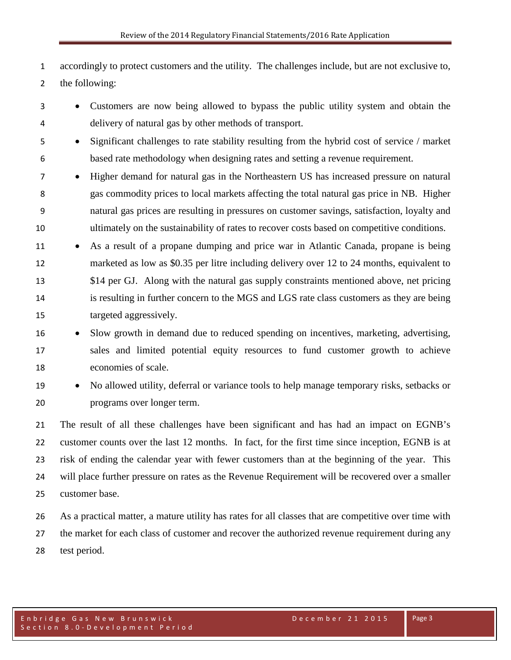accordingly to protect customers and the utility. The challenges include, but are not exclusive to, the following:

- Customers are now being allowed to bypass the public utility system and obtain the delivery of natural gas by other methods of transport.
- Significant challenges to rate stability resulting from the hybrid cost of service / market based rate methodology when designing rates and setting a revenue requirement.
- Higher demand for natural gas in the Northeastern US has increased pressure on natural gas commodity prices to local markets affecting the total natural gas price in NB. Higher natural gas prices are resulting in pressures on customer savings, satisfaction, loyalty and ultimately on the sustainability of rates to recover costs based on competitive conditions.
- 11 As a result of a propane dumping and price war in Atlantic Canada, propane is being marketed as low as \$0.35 per litre including delivery over 12 to 24 months, equivalent to \$14 per GJ. Along with the natural gas supply constraints mentioned above, net pricing is resulting in further concern to the MGS and LGS rate class customers as they are being targeted aggressively.
- Slow growth in demand due to reduced spending on incentives, marketing, advertising, sales and limited potential equity resources to fund customer growth to achieve economies of scale.
- 

 • No allowed utility, deferral or variance tools to help manage temporary risks, setbacks or programs over longer term.

 The result of all these challenges have been significant and has had an impact on EGNB's customer counts over the last 12 months. In fact, for the first time since inception, EGNB is at risk of ending the calendar year with fewer customers than at the beginning of the year. This will place further pressure on rates as the Revenue Requirement will be recovered over a smaller customer base.

 As a practical matter, a mature utility has rates for all classes that are competitive over time with the market for each class of customer and recover the authorized revenue requirement during any test period.